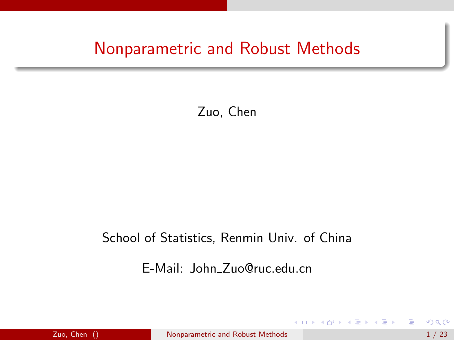## Nonparametric and Robust Methods

#### Zuo, Chen

#### School of Statistics, Renmin Univ. of China

#### E-Mail: John Zuo@ruc.edu.cn

4.000.00

<span id="page-0-0"></span> $\mathcal{A} \oplus \mathcal{B}$  and  $\mathcal{A} \oplus \mathcal{B}$  and  $\mathcal{B} \oplus \mathcal{B}$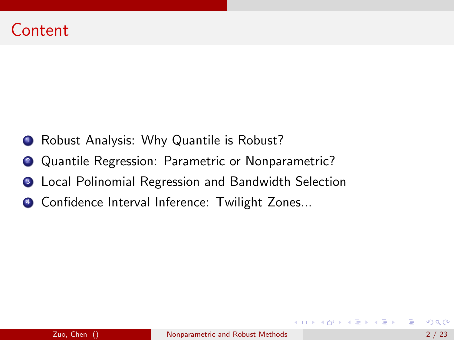- **1** Robust Analysis: Why Quantile is Robust?
- 2 Quantile Regression: Parametric or Nonparametric?
- **3** Local Polinomial Regression and Bandwidth Selection
- <sup>4</sup> Confidence Interval Inference: Twilight Zones...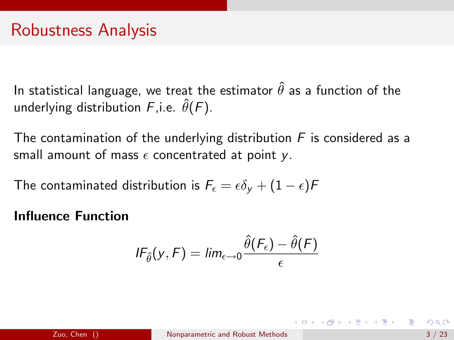In statistical language, we treat the estimator  $\hat{\theta}$  as a function of the underlying distribution  $F$ , i.e.  $\hat{\theta}(F)$ .

The contamination of the underlying distribution  $F$  is considered as a small amount of mass  $\epsilon$  concentrated at point y.

The contaminated distribution is  $F_{\epsilon} = \epsilon \delta_{\rm V} + (1 - \epsilon)F$ 

#### Influence Function

$$
IF_{\hat{\theta}}(y, F) = lim_{\epsilon \to 0} \frac{\hat{\theta}(F_{\epsilon}) - \hat{\theta}(F)}{\epsilon}
$$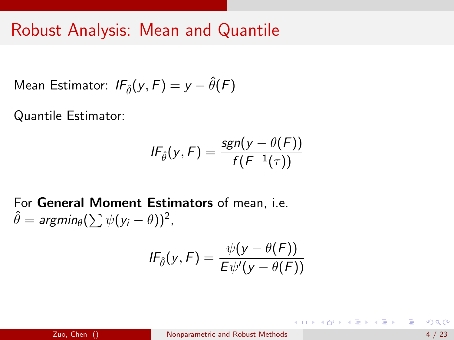## Robust Analysis: Mean and Quantile

Mean Estimator: 
$$
IF_{\hat{\theta}}(y, F) = y - \hat{\theta}(F)
$$

Quantile Estimator:

$$
IF_{\hat{\theta}}(y,F) = \frac{sgn(y - \theta(F))}{f(F^{-1}(\tau))}
$$

For General Moment Estimators of mean, i.e.  $\hat{\theta} = \textit{argmin}_\theta (\sum \psi(y_i - \theta))^2$  ,

$$
IF_{\hat{\theta}}(y,F) = \frac{\psi(y - \theta(F))}{E\psi'(y - \theta(F))}
$$

K ロ > K d > K 글 > K 글 > H 글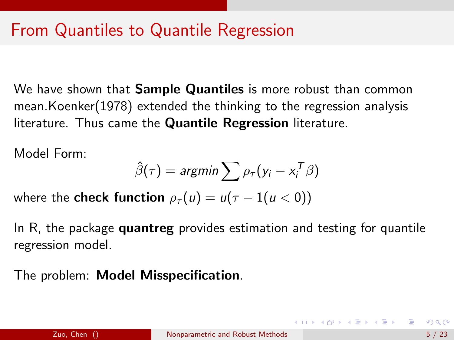We have shown that **Sample Quantiles** is more robust than common mean.Koenker(1978) extended the thinking to the regression analysis literature. Thus came the Quantile Regression literature.

Model Form:

$$
\hat{\beta}(\tau) = \text{argmin} \sum \rho_{\tau}(y_i - x_i^T \beta)
$$

where the **check function**  $\rho_{\tau}(u) = u(\tau - 1(u < 0))$ 

In R, the package **quantreg** provides estimation and testing for quantile regression model.

The problem: Model Misspecification.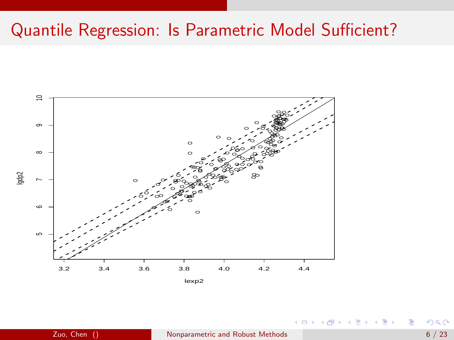## Quantile Regression: Is Parametric Model Sufficient?



€⊡

 $200$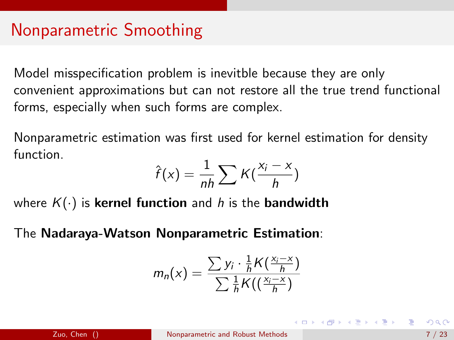## Nonparametric Smoothing

Model misspecification problem is inevitble because they are only convenient approximations but can not restore all the true trend functional forms, especially when such forms are complex.

Nonparametric estimation was first used for kernel estimation for density function.

$$
\hat{f}(x) = \frac{1}{nh} \sum K(\frac{x_i - x}{h})
$$

where  $K(\cdot)$  is kernel function and h is the bandwidth

The Nadaraya-Watson Nonparametric Estimation:

$$
m_n(x) = \frac{\sum y_i \cdot \frac{1}{h} K\left(\frac{x_i - x}{h}\right)}{\sum \frac{1}{h} K\left(\left(\frac{x_i - x}{h}\right)\right)}
$$

 $\mathbf{A} \equiv \mathbf{A} + \mathbf{A} + \mathbf{A} + \mathbf{A} + \mathbf{A} + \mathbf{A} + \mathbf{A} + \mathbf{A} + \mathbf{A} + \mathbf{A} + \mathbf{A} + \mathbf{A} + \mathbf{A} + \mathbf{A} + \mathbf{A} + \mathbf{A} + \mathbf{A} + \mathbf{A} + \mathbf{A} + \mathbf{A} + \mathbf{A} + \mathbf{A} + \mathbf{A} + \mathbf{A} + \mathbf{A} + \mathbf{A} + \mathbf{A} + \mathbf{A} + \mathbf{A} + \mathbf{A} + \math$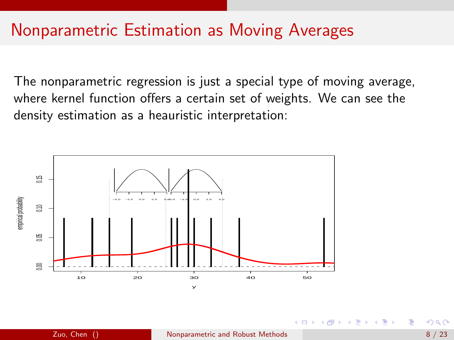## Nonparametric Estimation as Moving Averages

The nonparametric regression is just a special type of moving average, where kernel function offers a certain set of weights. We can see the density estimation as a heauristic interpretation:

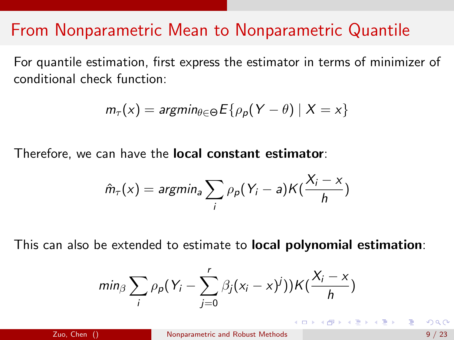## From Nonparametric Mean to Nonparametric Quantile

For quantile estimation, first express the estimator in terms of minimizer of conditional check function:

$$
m_{\tau}(x) = \text{argmin}_{\theta \in \Theta} E\{\rho_p(Y - \theta) \mid X = x\}
$$

Therefore, we can have the local constant estimator:

$$
\hat{m}_{\tau}(x) = \text{argmin}_{a} \sum_{i} \rho_{p} (Y_{i} - a) K(\frac{X_{i} - x}{h})
$$

This can also be extended to estimate to local polynomial estimation:

$$
min_{\beta} \sum_{i} \rho_p(Y_i - \sum_{j=0}^r \beta_j(x_i - x)^j) K(\frac{X_i - x}{h})
$$

(ロト (母) (ヨ) (ヨ)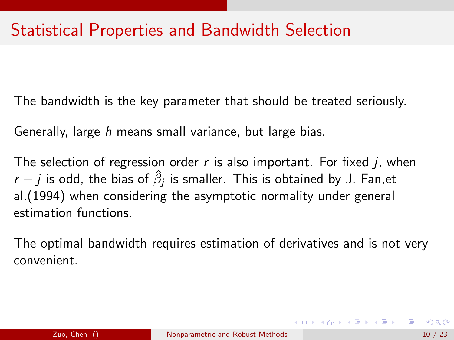The bandwidth is the key parameter that should be treated seriously.

Generally, large h means small variance, but large bias.

The selection of regression order  $r$  is also important. For fixed  $j$ , when  $r-j$  is odd, the bias of  $\hat{\beta}_j$  is smaller. This is obtained by J. Fan,et al.(1994) when considering the asymptotic normality under general estimation functions.

The optimal bandwidth requires estimation of derivatives and is not very convenient.

 $\mathbf{A} \equiv \mathbf{A} + \mathbf{A} + \mathbf{A} + \mathbf{A} + \mathbf{A} + \mathbf{A} + \mathbf{A} + \mathbf{A} + \mathbf{A} + \mathbf{A} + \mathbf{A} + \mathbf{A} + \mathbf{A} + \mathbf{A} + \mathbf{A} + \mathbf{A} + \mathbf{A} + \mathbf{A} + \mathbf{A} + \mathbf{A} + \mathbf{A} + \mathbf{A} + \mathbf{A} + \mathbf{A} + \mathbf{A} + \mathbf{A} + \mathbf{A} + \mathbf{A} + \mathbf{A} + \mathbf{A} + \math$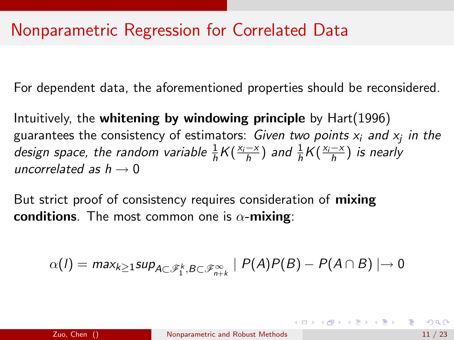## Nonparametric Regression for Correlated Data

For dependent data, the aforementioned properties should be reconsidered.

Intuitively, the whitening by windowing principle by Hart(1996) guarantees the consistency of estimators: *Given two points*  $x_i$  *and*  $x_j$  *in the* design space, the random variable  $\frac{1}{h}K(\frac{x_i-x}{h})$  and  $\frac{1}{h}K(\frac{x_i-x}{h})$  is nearly uncorrelated as  $h \rightarrow 0$ 

But strict proof of consistency requires consideration of **mixing** conditions. The most common one is  $\alpha$ -mixing:

$$
\alpha(I) = \text{max}_{k \geq 1} \text{sup}_{A \subset \mathscr{F}_1^k, B \subset \mathscr{F}_{n+k}^{\infty}} \mid P(A)P(B) - P(A \cap B) \mid \rightarrow 0
$$

(ロ) (伊) (금) (금) - 금 - 99.0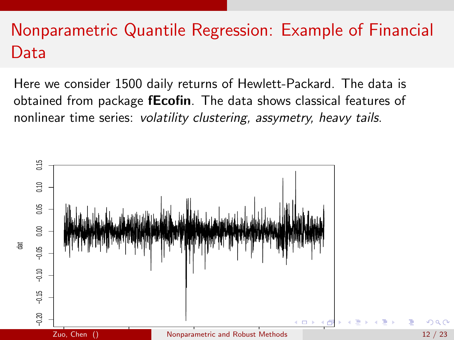# Nonparametric Quantile Regression: Example of Financial Data

Here we consider 1500 daily returns of Hewlett-Packard. The data is obtained from package **fEcofin**. The data shows classical features of nonlinear time series: volatility clustering, assymetry, heavy tails.

<span id="page-11-0"></span>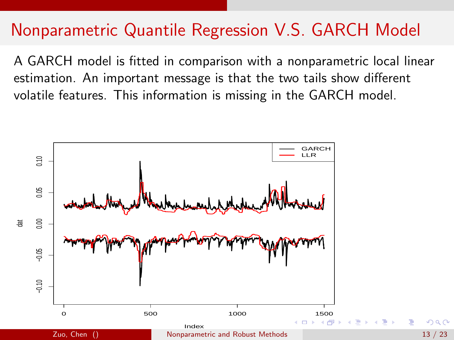## Nonparametric Quantile Regression V.S. GARCH Model

A GARCH model is fitted in comparison with a nonparametric local linear estimation. An important message is that the two tails show different volatile features. This information is missing in the GARCH model.

<span id="page-12-0"></span>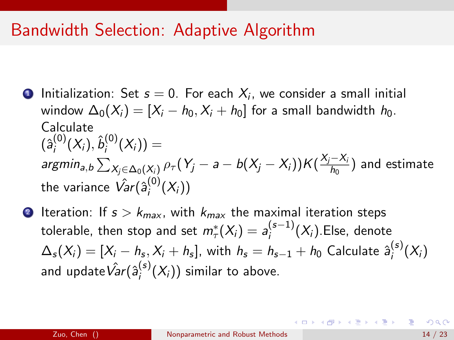### Bandwidth Selection: Adaptive Algorithm

- **D** Initialization: Set  $s = 0$ . For each  $X_i$ , we consider a small initial window  $\Delta_0(X_i) = [X_i - h_0, X_i + h_0]$  for a small bandwidth  $h_0$ . Calculate  $(\hat{\mathsf{a}}_i^{(0)}(X_i), \hat{\mathsf{b}}_i^{(0)}(X_i)) =$  $i \left( \cdots \right)$ argmin $_{a,b}\sum_{X_j\in \Delta_0(X_i)}\rho_\tau(Y_j-a-b(X_j-X_i))K(\frac{X_j-X_i}{h_0})$  $\frac{(-\lambda_i)}{h_0}$ ) and estimate the variance  $\hat{Var}(\hat{\bm{\mathsf{a}}}_{i}^{\left(0\right)})$  $\binom{0}{i}(X_i)$
- <span id="page-13-1"></span><span id="page-13-0"></span>2 Iteration: If  $s > k_{max}$ , with  $k_{max}$  the maximal iteration steps tolerable, then stop and set  $m^*_{\tau}(X_i)=a^{(s-1)}_i$  $i^{(s-1)}(X_i)$ .Else, denote  $\Delta_{\mathcal{S}}(X_i) = [X_i-h_{\mathcal{S}},X_i+h_{\mathcal{S}}],$  with  $h_{\mathcal{S}} = h_{\mathcal{S}-1} + h_0$  Calculate  $\hat{\boldsymbol{a}}^{(\mathcal{S})}_i$  $i^{(s)}(X_i)$ and update $\hat{Var}(\hat{a}^{(s)}_i)$  $i^{(s)}(X_i)$ ) similar to above.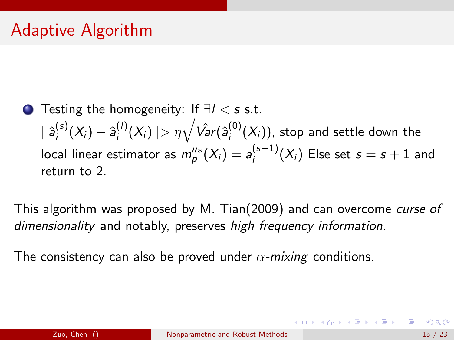## Adaptive Algorithm

**1** Testing the homogeneity: If  $\exists l < s$  s.t.  $|\; {\hat{a}}_i^{(s)}\;$  $i_j^{(s)}(X_i) - \hat{a}_i^{(l)}$  $\eta^{(l)}_i(X_i) \mid > \eta \sqrt{\hat{\mathsf{Var}}(\hat{\mathsf{a}}_i^{(0)})}$  $\binom{S^{(0)}(X_i)}{S^{(1)}}$ , stop and settle down the local linear estimator as  $m_p^{\prime\prime*}(X_i)=a_i^{(s-1)}$  $i_j^{(s-1)}(X_i)$  Else set  $s = s + 1$  and return to [2.](#page-13-1)

This algorithm was proposed by M. Tian(2009) and can overcome curse of dimensionality and notably, preserves high frequency information.

The consistency can also be proved under  $\alpha$ -mixing conditions.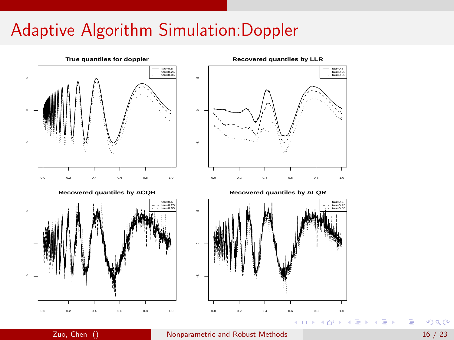## Adaptive Algorithm Simulation:Doppler



 $QQ$ 

э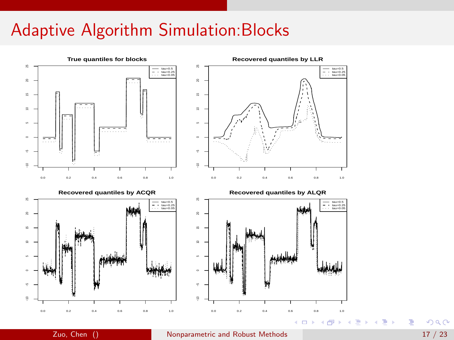## Adaptive Algorithm Simulation:Blocks



э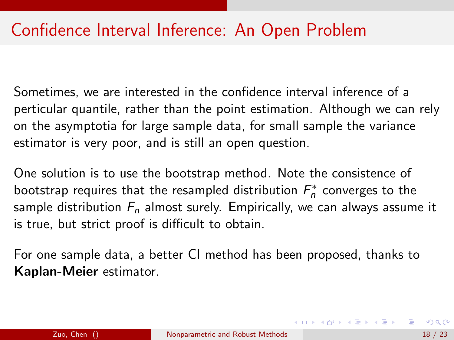## Confidence Interval Inference: An Open Problem

Sometimes, we are interested in the confidence interval inference of a perticular quantile, rather than the point estimation. Although we can rely on the asymptotia for large sample data, for small sample the variance estimator is very poor, and is still an open question.

One solution is to use the bootstrap method. Note the consistence of bootstrap requires that the resampled distribution  $F_n^*$  converges to the sample distribution  $F_n$  almost surely. Empirically, we can always assume it is true, but strict proof is difficult to obtain.

For one sample data, a better CI method has been proposed, thanks to Kaplan-Meier estimator.

 $\mathbf{A} \equiv \mathbf{A} + \mathbf{A} + \mathbf{A} + \mathbf{A} + \mathbf{A} + \mathbf{A} + \mathbf{A} + \mathbf{A} + \mathbf{A} + \mathbf{A} + \mathbf{A} + \mathbf{A} + \mathbf{A} + \mathbf{A} + \mathbf{A} + \mathbf{A} + \mathbf{A} + \mathbf{A} + \mathbf{A} + \mathbf{A} + \mathbf{A} + \mathbf{A} + \mathbf{A} + \mathbf{A} + \mathbf{A} + \mathbf{A} + \mathbf{A} + \mathbf{A} + \mathbf{A} + \mathbf{A} + \math$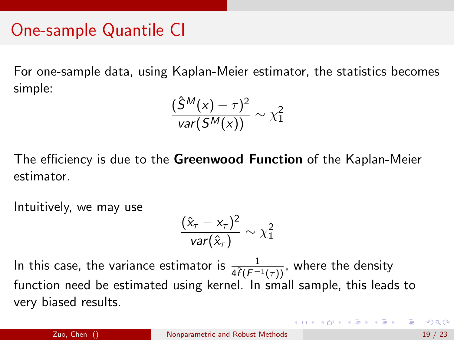## One-sample Quantile CI

For one-sample data, using Kaplan-Meier estimator, the statistics becomes simple:

$$
\frac{(\hat{S}^M(x) - \tau)^2}{var(S^M(x))} \sim \chi_1^2
$$

The efficiency is due to the Greenwood Function of the Kaplan-Meier estimator.

Intuitively, we may use

$$
\frac{(\hat{x}_\tau - x_\tau)^2}{var(\hat{x}_\tau)} \sim \chi_1^2
$$

In this case, the variance estimator is  $\frac{1}{4\widehat{f}(F^{-1}(\tau))}$ , where the density function need be estimated using kernel. In small sample, this leads to very biased results.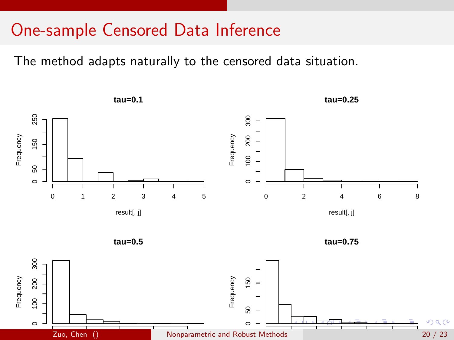### One-sample Censored Data Inference

The method adapts naturally to the censored data situation.

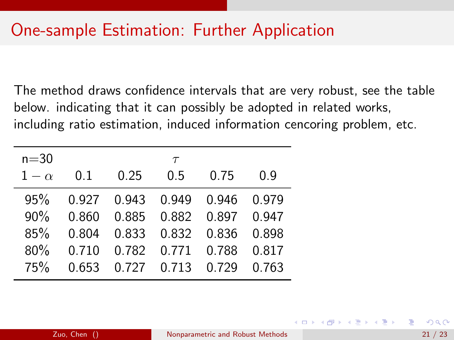## One-sample Estimation: Further Application

The method draws confidence intervals that are very robust, see the table below. indicating that it can possibly be adopted in related works, including ratio estimation, induced information cencoring problem, etc.

| $n=30$ |  | $\tau$                             |  |
|--------|--|------------------------------------|--|
|        |  | $1 - \alpha$ 0.1 0.25 0.5 0.75 0.9 |  |
|        |  | 95% 0.927 0.943 0.949 0.946 0.979  |  |
|        |  | 90% 0.860 0.885 0.882 0.897 0.947  |  |
|        |  | 85\% 0.804 0.833 0.832 0.836 0.898 |  |
|        |  | 80\% 0.710 0.782 0.771 0.788 0.817 |  |
| 75%    |  | 0.653  0.727  0.713  0.729  0.763  |  |

イロト イ押ト イヨト イヨトー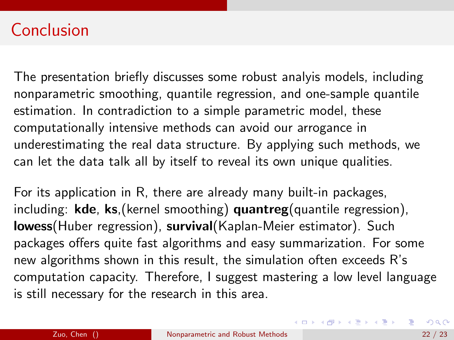## Conclusion

The presentation briefly discusses some robust analyis models, including nonparametric smoothing, quantile regression, and one-sample quantile estimation. In contradiction to a simple parametric model, these computationally intensive methods can avoid our arrogance in underestimating the real data structure. By applying such methods, we can let the data talk all by itself to reveal its own unique qualities.

For its application in R, there are already many built-in packages, including:  $kde$ ,  $ks$ , (kernel smoothing) quantreg (quantile regression), lowess(Huber regression), survival(Kaplan-Meier estimator). Such packages offers quite fast algorithms and easy summarization. For some new algorithms shown in this result, the simulation often exceeds R's computation capacity. Therefore, I suggest mastering a low level language is still necessary for the research in this area.

K ロ ▶ K 個 ▶ K 로 ▶ K 로 ▶ 『 콘 │ ◆ 9,9,0\*